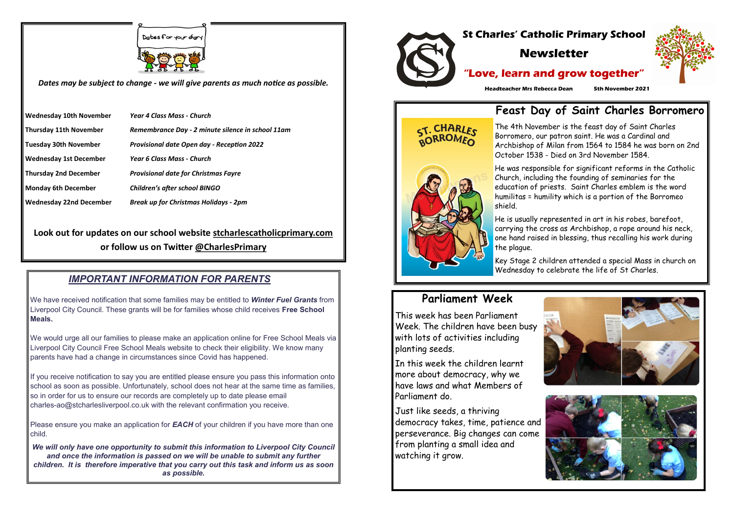Dates for your diar



*Dates may be subject to change - we will give parents as much notice as possible.*

| <b>Wednesday 10th November</b> | <b>Year 4 Class Mass - Church</b>                 |
|--------------------------------|---------------------------------------------------|
| <b>Thursday 11th November</b>  | Remembrance Day - 2 minute silence in school 11am |
| <b>Tuesday 30th November</b>   | <b>Provisional date Open day - Reception 2022</b> |
| <b>Wednesday 1st December</b>  | Year 6 Class Mass - Church                        |
| <b>Thursday 2nd December</b>   | <b>Provisional date for Christmas Fayre</b>       |
| <b>Monday 6th December</b>     | <b>Children's after school BINGO</b>              |
| <b>Wednesday 22nd December</b> | <b>Break up for Christmas Holidays - 2pm</b>      |

**Look out for updates on our school website stcharlescatholicprimary.com or follow us on Twitter @CharlesPrimary**

## *IMPORTANT INFORMATION FOR PARENTS*

We have received notification that some families may be entitled to *Winter Fuel Grants* from Liverpool City Council. These grants will be for families whose child receives **Free School Meals.**

Please ensure you make an application for **EACH** of your children if you have more than one child.

We would urge all our families to please make an application online for Free School Meals via Liverpool City Council Free School Meals website to check their eligibility. We know many parents have had a change in circumstances since Covid has happened.

If you receive notification to say you are entitled please ensure you pass this information onto school as soon as possible. Unfortunately, school does not hear at the same time as families, so in order for us to ensure our records are completely up to date please email charles-ao@stcharlesliverpool.co.uk with the relevant confirmation you receive.

*We will only have one opportunity to submit this information to Liverpool City Council and once the information is passed on we will be unable to submit any further children. It is therefore imperative that you carry out this task and inform us as soon as possible.*



**Headteacher Mrs Rebecca Dean 5th November 2021**

# **Feast Day of Saint Charles Borromero**

The 4th November is the feast day of Saint Charles Borromero, our patron saint. He was a Cardinal and Archbishop of Milan from 1564 to 1584 he was born on 2nd October 1538 - Died on 3rd November 1584.



ST. CHARLES

He was responsible for significant reforms in the Catholic Church, including the founding of seminaries for the education of priests. Saint Charles emblem is the word humilitas = humility which is a portion of the Borromeo shield.

He is usually represented in art in his robes, barefoot, carrying the cross as Archbishop, a rope around his neck, one hand raised in blessing, thus recalling his work during the plague.

Key Stage 2 children attended a special Mass in church on Wednesday to celebrate the life of St Charles.

# **Parliament Week**

This week has been Parliament Week. The children have been busy with lots of activities including planting seeds.

In this week the children learnt more about democracy, why we have laws and what Members of Parliament do.

Just like seeds, a thriving democracy takes, time, patience and perseverance. Big changes can come from planting a small idea and watching it grow.